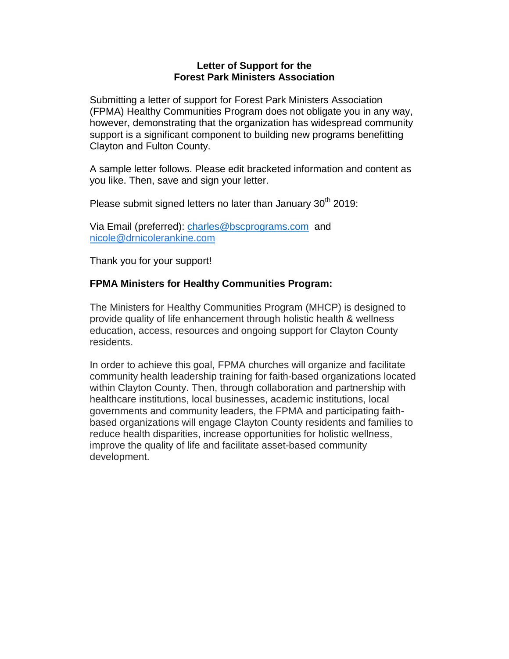## **Letter of Support for the Forest Park Ministers Association**

Submitting a letter of support for Forest Park Ministers Association (FPMA) Healthy Communities Program does not obligate you in any way, however, demonstrating that the organization has widespread community support is a significant component to building new programs benefitting Clayton and Fulton County.

A sample letter follows. Please edit bracketed information and content as you like. Then, save and sign your letter.

Please submit signed letters no later than January 30<sup>th</sup> 2019:

Via Email (preferred): [charles@bscprograms.com](mailto:charles@bscprograms.com) and [nicole@drnicolerankine.com](mailto:nicole@drnicolerankine.com)

Thank you for your support!

## **FPMA Ministers for Healthy Communities Program:**

The Ministers for Healthy Communities Program (MHCP) is designed to provide quality of life enhancement through holistic health & wellness education, access, resources and ongoing support for Clayton County residents.

In order to achieve this goal, FPMA churches will organize and facilitate community health leadership training for faith-based organizations located within Clayton County. Then, through collaboration and partnership with healthcare institutions, local businesses, academic institutions, local governments and community leaders, the FPMA and participating faithbased organizations will engage Clayton County residents and families to reduce health disparities, increase opportunities for holistic wellness, improve the quality of life and facilitate asset-based community development.